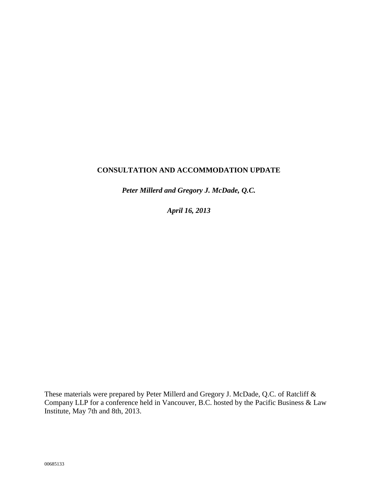# **CONSULTATION AND ACCOMMODATION UPDATE**

*Peter Millerd and Gregory J. McDade, Q.C.*

*April 16, 2013*

These materials were prepared by Peter Millerd and Gregory J. McDade, Q.C. of Ratcliff & Company LLP for a conference held in Vancouver, B.C. hosted by the Pacific Business & Law Institute, May 7th and 8th, 2013.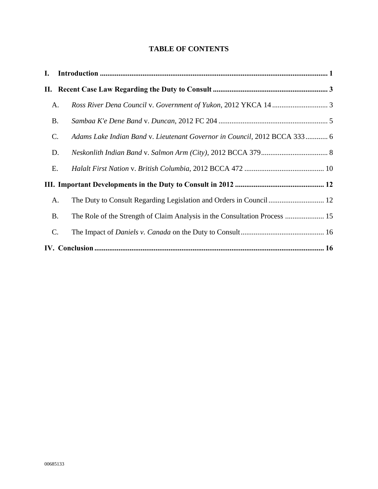# **TABLE OF CONTENTS**

| L. |           |                                                                            |  |
|----|-----------|----------------------------------------------------------------------------|--|
|    |           |                                                                            |  |
|    | A.        |                                                                            |  |
|    | <b>B.</b> |                                                                            |  |
| C. |           | Adams Lake Indian Band v. Lieutenant Governor in Council, 2012 BCCA 333 6  |  |
|    | D.        |                                                                            |  |
| Ε. |           |                                                                            |  |
|    |           |                                                                            |  |
|    | A.        |                                                                            |  |
|    | <b>B.</b> | The Role of the Strength of Claim Analysis in the Consultation Process  15 |  |
| C. |           |                                                                            |  |
|    |           |                                                                            |  |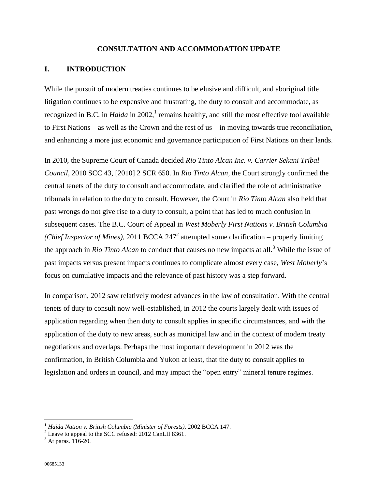#### **CONSULTATION AND ACCOMMODATION UPDATE**

## <span id="page-2-0"></span>**I. INTRODUCTION**

While the pursuit of modern treaties continues to be elusive and difficult, and aboriginal title litigation continues to be expensive and frustrating, the duty to consult and accommodate, as recognized in B.C. in *Haida* in 2002,<sup>1</sup> remains healthy, and still the most effective tool available to First Nations – as well as the Crown and the rest of us – in moving towards true reconciliation, and enhancing a more just economic and governance participation of First Nations on their lands.

In 2010, the Supreme Court of Canada decided *Rio Tinto Alcan Inc. v. Carrier Sekani Tribal Council*, 2010 SCC 43, [2010] 2 SCR 650. In *Rio Tinto Alcan,* the Court strongly confirmed the central tenets of the duty to consult and accommodate, and clarified the role of administrative tribunals in relation to the duty to consult. However, the Court in *Rio Tinto Alcan* also held that past wrongs do not give rise to a duty to consult, a point that has led to much confusion in subsequent cases. The B.C. Court of Appeal in *West Moberly First Nations v. British Columbia*  (*Chief Inspector of Mines*), 2011 BCCA 247<sup>2</sup> attempted some clarification – properly limiting the approach in *Rio Tinto Alcan* to conduct that causes no new impacts at all. <sup>3</sup> While the issue of past impacts versus present impacts continues to complicate almost every case, *West Moberly*'s focus on cumulative impacts and the relevance of past history was a step forward.

In comparison, 2012 saw relatively modest advances in the law of consultation. With the central tenets of duty to consult now well-established, in 2012 the courts largely dealt with issues of application regarding when then duty to consult applies in specific circumstances, and with the application of the duty to new areas, such as municipal law and in the context of modern treaty negotiations and overlaps. Perhaps the most important development in 2012 was the confirmation, in British Columbia and Yukon at least, that the duty to consult applies to legislation and orders in council, and may impact the "open entry" mineral tenure regimes.

<sup>&</sup>lt;sup>1</sup> Haida Nation v. British Columbia (Minister of Forests), 2002 BCCA 147.

 $^{2}$  Leave to appeal to the SCC refused: 2012 CanLII 8361.

 $3$  At paras. 116-20.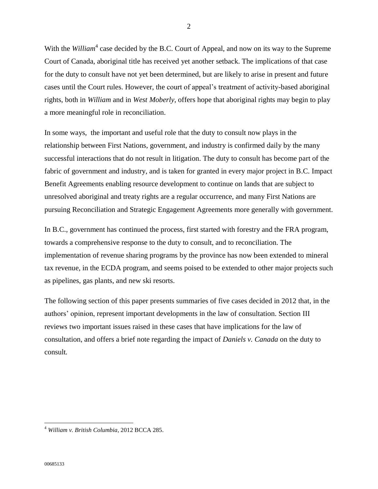With the *William*<sup>4</sup> case decided by the B.C. Court of Appeal, and now on its way to the Supreme Court of Canada, aboriginal title has received yet another setback. The implications of that case for the duty to consult have not yet been determined, but are likely to arise in present and future cases until the Court rules. However, the court of appeal's treatment of activity-based aboriginal rights, both in *William* and in *West Moberly*, offers hope that aboriginal rights may begin to play a more meaningful role in reconciliation.

In some ways, the important and useful role that the duty to consult now plays in the relationship between First Nations, government, and industry is confirmed daily by the many successful interactions that do not result in litigation. The duty to consult has become part of the fabric of government and industry, and is taken for granted in every major project in B.C. Impact Benefit Agreements enabling resource development to continue on lands that are subject to unresolved aboriginal and treaty rights are a regular occurrence, and many First Nations are pursuing Reconciliation and Strategic Engagement Agreements more generally with government.

In B.C., government has continued the process, first started with forestry and the FRA program, towards a comprehensive response to the duty to consult, and to reconciliation. The implementation of revenue sharing programs by the province has now been extended to mineral tax revenue, in the ECDA program, and seems poised to be extended to other major projects such as pipelines, gas plants, and new ski resorts.

The following section of this paper presents summaries of five cases decided in 2012 that, in the authors' opinion, represent important developments in the law of consultation. Section III reviews two important issues raised in these cases that have implications for the law of consultation, and offers a brief note regarding the impact of *Daniels v. Canada* on the duty to consult*.*

<sup>4</sup> *William v. British Columbia*, 2012 BCCA 285.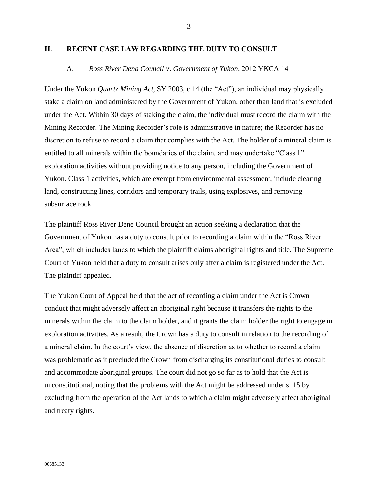## <span id="page-4-1"></span><span id="page-4-0"></span>**II. RECENT CASE LAW REGARDING THE DUTY TO CONSULT**

#### A. *Ross River Dena Council* v. *Government of Yukon*, 2012 YKCA 14

Under the Yukon *Quartz Mining Act,* SY 2003, c 14 (the "Act"), an individual may physically stake a claim on land administered by the Government of Yukon, other than land that is excluded under the Act. Within 30 days of staking the claim, the individual must record the claim with the Mining Recorder. The Mining Recorder's role is administrative in nature; the Recorder has no discretion to refuse to record a claim that complies with the Act. The holder of a mineral claim is entitled to all minerals within the boundaries of the claim, and may undertake "Class 1" exploration activities without providing notice to any person, including the Government of Yukon. Class 1 activities, which are exempt from environmental assessment, include clearing land, constructing lines, corridors and temporary trails, using explosives, and removing subsurface rock.

The plaintiff Ross River Dene Council brought an action seeking a declaration that the Government of Yukon has a duty to consult prior to recording a claim within the "Ross River Area", which includes lands to which the plaintiff claims aboriginal rights and title. The Supreme Court of Yukon held that a duty to consult arises only after a claim is registered under the Act. The plaintiff appealed.

The Yukon Court of Appeal held that the act of recording a claim under the Act is Crown conduct that might adversely affect an aboriginal right because it transfers the rights to the minerals within the claim to the claim holder, and it grants the claim holder the right to engage in exploration activities. As a result, the Crown has a duty to consult in relation to the recording of a mineral claim. In the court's view, the absence of discretion as to whether to record a claim was problematic as it precluded the Crown from discharging its constitutional duties to consult and accommodate aboriginal groups. The court did not go so far as to hold that the Act is unconstitutional, noting that the problems with the Act might be addressed under s. 15 by excluding from the operation of the Act lands to which a claim might adversely affect aboriginal and treaty rights.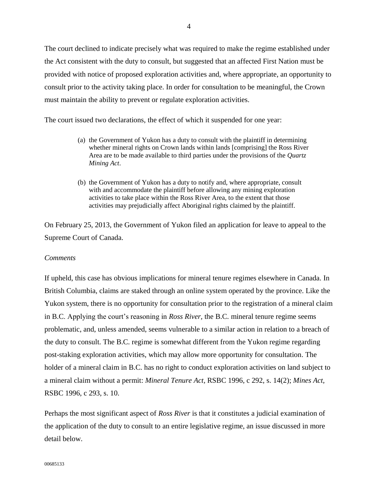The court declined to indicate precisely what was required to make the regime established under the Act consistent with the duty to consult, but suggested that an affected First Nation must be provided with notice of proposed exploration activities and, where appropriate, an opportunity to consult prior to the activity taking place. In order for consultation to be meaningful, the Crown must maintain the ability to prevent or regulate exploration activities.

The court issued two declarations, the effect of which it suspended for one year:

- (a) the Government of Yukon has a duty to consult with the plaintiff in determining whether mineral rights on Crown lands within lands [comprising] the Ross River Area are to be made available to third parties under the provisions of the *Quartz Mining Act*.
- (b) the Government of Yukon has a duty to notify and, where appropriate, consult with and accommodate the plaintiff before allowing any mining exploration activities to take place within the Ross River Area, to the extent that those activities may prejudicially affect Aboriginal rights claimed by the plaintiff.

On February 25, 2013, the Government of Yukon filed an application for leave to appeal to the Supreme Court of Canada.

#### *Comments*

If upheld, this case has obvious implications for mineral tenure regimes elsewhere in Canada. In British Columbia, claims are staked through an online system operated by the province. Like the Yukon system, there is no opportunity for consultation prior to the registration of a mineral claim in B.C. Applying the court's reasoning in *Ross River,* the B.C. mineral tenure regime seems problematic, and, unless amended, seems vulnerable to a similar action in relation to a breach of the duty to consult. The B.C. regime is somewhat different from the Yukon regime regarding post-staking exploration activities, which may allow more opportunity for consultation. The holder of a mineral claim in B.C. has no right to conduct exploration activities on land subject to a mineral claim without a permit: *Mineral Tenure Act,* RSBC 1996, c 292, s. 14(2); *Mines Act,*  RSBC 1996, c 293, s. 10.

Perhaps the most significant aspect of *Ross River* is that it constitutes a judicial examination of the application of the duty to consult to an entire legislative regime, an issue discussed in more detail below.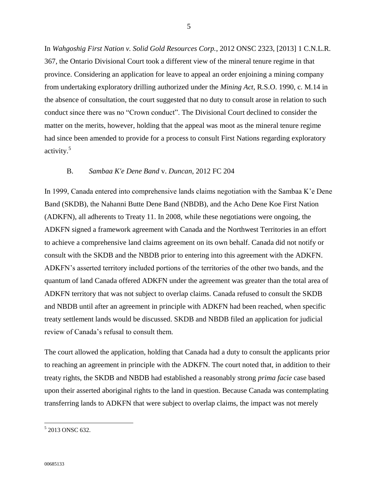In *Wahgoshig First Nation v. Solid Gold Resources Corp.*, 2012 ONSC 2323, [2013] 1 C.N.L.R. 367, the Ontario Divisional Court took a different view of the mineral tenure regime in that province. Considering an application for leave to appeal an order enjoining a mining company from undertaking exploratory drilling authorized under the *Mining Act*, R.S.O. 1990, c. M.14 in the absence of consultation, the court suggested that no duty to consult arose in relation to such conduct since there was no "Crown conduct". The Divisional Court declined to consider the matter on the merits, however, holding that the appeal was moot as the mineral tenure regime had since been amended to provide for a process to consult First Nations regarding exploratory activity. 5

#### B. *Sambaa K'e Dene Band* v. *Duncan*, 2012 FC 204

<span id="page-6-0"></span>In 1999, Canada entered into comprehensive lands claims negotiation with the Sambaa K'e Dene Band (SKDB), the Nahanni Butte Dene Band (NBDB), and the Acho Dene Koe First Nation (ADKFN), all adherents to Treaty 11. In 2008, while these negotiations were ongoing, the ADKFN signed a framework agreement with Canada and the Northwest Territories in an effort to achieve a comprehensive land claims agreement on its own behalf. Canada did not notify or consult with the SKDB and the NBDB prior to entering into this agreement with the ADKFN. ADKFN's asserted territory included portions of the territories of the other two bands, and the quantum of land Canada offered ADKFN under the agreement was greater than the total area of ADKFN territory that was not subject to overlap claims. Canada refused to consult the SKDB and NBDB until after an agreement in principle with ADKFN had been reached, when specific treaty settlement lands would be discussed. SKDB and NBDB filed an application for judicial review of Canada's refusal to consult them.

The court allowed the application, holding that Canada had a duty to consult the applicants prior to reaching an agreement in principle with the ADKFN. The court noted that, in addition to their treaty rights, the SKDB and NBDB had established a reasonably strong *prima facie* case based upon their asserted aboriginal rights to the land in question. Because Canada was contemplating transferring lands to ADKFN that were subject to overlap claims, the impact was not merely

<sup>5</sup> 2013 ONSC 632.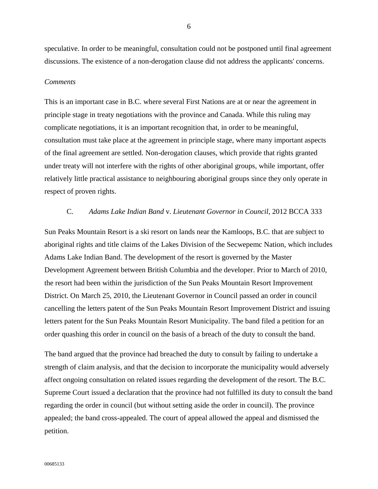speculative. In order to be meaningful, consultation could not be postponed until final agreement discussions. The existence of a non-derogation clause did not address the applicants' concerns.

#### *Comments*

This is an important case in B.C. where several First Nations are at or near the agreement in principle stage in treaty negotiations with the province and Canada. While this ruling may complicate negotiations, it is an important recognition that, in order to be meaningful, consultation must take place at the agreement in principle stage, where many important aspects of the final agreement are settled. Non-derogation clauses, which provide that rights granted under treaty will not interfere with the rights of other aboriginal groups, while important, offer relatively little practical assistance to neighbouring aboriginal groups since they only operate in respect of proven rights.

## C. *Adams Lake Indian Band* v. *Lieutenant Governor in Council*, 2012 BCCA 333

<span id="page-7-0"></span>Sun Peaks Mountain Resort is a ski resort on lands near the Kamloops, B.C. that are subject to aboriginal rights and title claims of the Lakes Division of the Secwepemc Nation, which includes Adams Lake Indian Band. The development of the resort is governed by the Master Development Agreement between British Columbia and the developer. Prior to March of 2010, the resort had been within the jurisdiction of the Sun Peaks Mountain Resort Improvement District. On March 25, 2010, the Lieutenant Governor in Council passed an order in council cancelling the letters patent of the Sun Peaks Mountain Resort Improvement District and issuing letters patent for the Sun Peaks Mountain Resort Municipality. The band filed a petition for an order quashing this order in council on the basis of a breach of the duty to consult the band.

The band argued that the province had breached the duty to consult by failing to undertake a strength of claim analysis, and that the decision to incorporate the municipality would adversely affect ongoing consultation on related issues regarding the development of the resort. The B.C. Supreme Court issued a declaration that the province had not fulfilled its duty to consult the band regarding the order in council (but without setting aside the order in council). The province appealed; the band cross-appealed. The court of appeal allowed the appeal and dismissed the petition.

6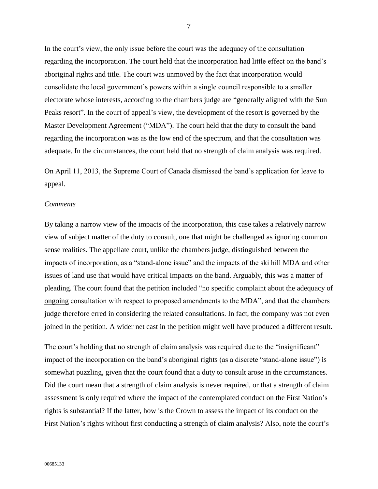In the court's view, the only issue before the court was the adequacy of the consultation regarding the incorporation. The court held that the incorporation had little effect on the band's aboriginal rights and title. The court was unmoved by the fact that incorporation would consolidate the local government's powers within a single council responsible to a smaller electorate whose interests, according to the chambers judge are "generally aligned with the Sun Peaks resort". In the court of appeal's view, the development of the resort is governed by the Master Development Agreement ("MDA"). The court held that the duty to consult the band regarding the incorporation was as the low end of the spectrum, and that the consultation was adequate. In the circumstances, the court held that no strength of claim analysis was required.

On April 11, 2013, the Supreme Court of Canada dismissed the band's application for leave to appeal.

#### *Comments*

By taking a narrow view of the impacts of the incorporation, this case takes a relatively narrow view of subject matter of the duty to consult, one that might be challenged as ignoring common sense realities. The appellate court, unlike the chambers judge, distinguished between the impacts of incorporation, as a "stand-alone issue" and the impacts of the ski hill MDA and other issues of land use that would have critical impacts on the band. Arguably, this was a matter of pleading. The court found that the petition included "no specific complaint about the adequacy of ongoing consultation with respect to proposed amendments to the MDA", and that the chambers judge therefore erred in considering the related consultations. In fact, the company was not even joined in the petition. A wider net cast in the petition might well have produced a different result.

The court's holding that no strength of claim analysis was required due to the "insignificant" impact of the incorporation on the band's aboriginal rights (as a discrete "stand-alone issue") is somewhat puzzling, given that the court found that a duty to consult arose in the circumstances. Did the court mean that a strength of claim analysis is never required, or that a strength of claim assessment is only required where the impact of the contemplated conduct on the First Nation's rights is substantial? If the latter, how is the Crown to assess the impact of its conduct on the First Nation's rights without first conducting a strength of claim analysis? Also, note the court's

7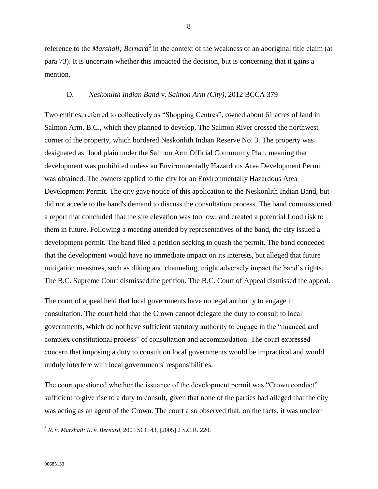reference to the *Marshall; Bernard*<sup>6</sup> in the context of the weakness of an aboriginal title claim (at para 73). It is uncertain whether this impacted the decision, but is concerning that it gains a mention.

## D. *Neskonlith Indian Band* v. *Salmon Arm (City)*, 2012 BCCA 379

<span id="page-9-0"></span>Two entities, referred to collectively as "Shopping Centres", owned about 61 acres of land in Salmon Arm, B.C., which they planned to develop. The Salmon River crossed the northwest corner of the property, which bordered Neskonlith Indian Reserve No. 3. The property was designated as flood plain under the Salmon Arm Official Community Plan, meaning that development was prohibited unless an Environmentally Hazardous Area Development Permit was obtained. The owners applied to the city for an Environmentally Hazardous Area Development Permit. The city gave notice of this application to the Neskonlith Indian Band, but did not accede to the band's demand to discuss the consultation process. The band commissioned a report that concluded that the site elevation was too low, and created a potential flood risk to them in future. Following a meeting attended by representatives of the band, the city issued a development permit. The band filed a petition seeking to quash the permit. The band conceded that the development would have no immediate impact on its interests, but alleged that future mitigation measures, such as diking and channeling, might adversely impact the band's rights. The B.C. Supreme Court dismissed the petition. The B.C. Court of Appeal dismissed the appeal.

The court of appeal held that local governments have no legal authority to engage in consultation. The court held that the Crown cannot delegate the duty to consult to local governments, which do not have sufficient statutory authority to engage in the "nuanced and complex constitutional process" of consultation and accommodation. The court expressed concern that imposing a duty to consult on local governments would be impractical and would unduly interfere with local governments' responsibilities.

The court questioned whether the issuance of the development permit was "Crown conduct" sufficient to give rise to a duty to consult, given that none of the parties had alleged that the city was acting as an agent of the Crown. The court also observed that, on the facts, it was unclear

<sup>6</sup> *R. v. Marshall; R. v. Bernard*, 2005 SCC 43, [2005] 2 S.C.R. 220.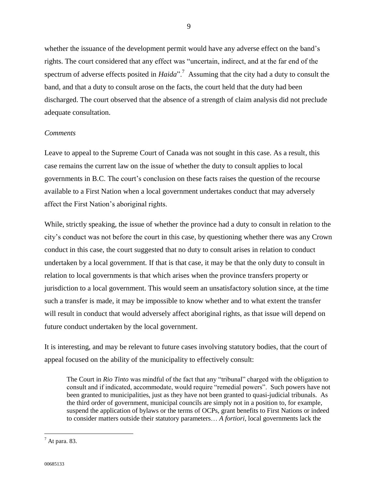whether the issuance of the development permit would have any adverse effect on the band's rights. The court considered that any effect was "uncertain, indirect, and at the far end of the spectrum of adverse effects posited in *Haida*".<sup>7</sup> Assuming that the city had a duty to consult the band, and that a duty to consult arose on the facts, the court held that the duty had been discharged. The court observed that the absence of a strength of claim analysis did not preclude adequate consultation.

## *Comments*

Leave to appeal to the Supreme Court of Canada was not sought in this case. As a result, this case remains the current law on the issue of whether the duty to consult applies to local governments in B.C. The court's conclusion on these facts raises the question of the recourse available to a First Nation when a local government undertakes conduct that may adversely affect the First Nation's aboriginal rights.

While, strictly speaking, the issue of whether the province had a duty to consult in relation to the city's conduct was not before the court in this case, by questioning whether there was any Crown conduct in this case, the court suggested that no duty to consult arises in relation to conduct undertaken by a local government. If that is that case, it may be that the only duty to consult in relation to local governments is that which arises when the province transfers property or jurisdiction to a local government. This would seem an unsatisfactory solution since, at the time such a transfer is made, it may be impossible to know whether and to what extent the transfer will result in conduct that would adversely affect aboriginal rights, as that issue will depend on future conduct undertaken by the local government.

It is interesting, and may be relevant to future cases involving statutory bodies, that the court of appeal focused on the ability of the municipality to effectively consult:

The Court in *Rio Tinto* was mindful of the fact that any "tribunal" charged with the obligation to consult and if indicated, accommodate, would require "remedial powers". Such powers have not been granted to municipalities, just as they have not been granted to quasi-judicial tribunals. As the third order of government, municipal councils are simply not in a position to, for example, suspend the application of bylaws or the terms of OCPs, grant benefits to First Nations or indeed to consider matters outside their statutory parameters… *A fortiori*, local governments lack the

 $<sup>7</sup>$  At para. 83.</sup>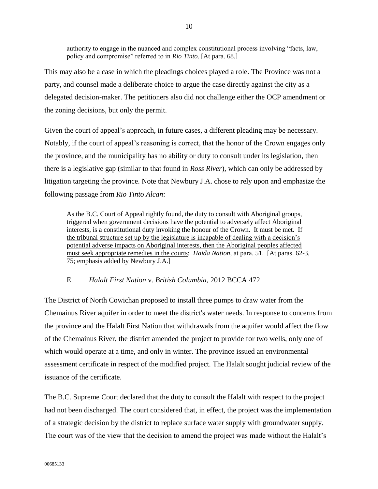authority to engage in the nuanced and complex constitutional process involving "facts, law, policy and compromise" referred to in *Rio Tinto*. [At para. 68.]

This may also be a case in which the pleadings choices played a role. The Province was not a party, and counsel made a deliberate choice to argue the case directly against the city as a delegated decision-maker. The petitioners also did not challenge either the OCP amendment or the zoning decisions, but only the permit.

Given the court of appeal's approach, in future cases, a different pleading may be necessary. Notably, if the court of appeal's reasoning is correct, that the honor of the Crown engages only the province, and the municipality has no ability or duty to consult under its legislation, then there is a legislative gap (similar to that found in *Ross River*), which can only be addressed by litigation targeting the province. Note that Newbury J.A. chose to rely upon and emphasize the following passage from *Rio Tinto Alcan*:

As the B.C. Court of Appeal rightly found, the duty to consult with Aboriginal groups, triggered when government decisions have the potential to adversely affect Aboriginal interests, is a constitutional duty invoking the honour of the Crown. It must be met. If the tribunal structure set up by the legislature is incapable of dealing with a decision's potential adverse impacts on Aboriginal interests, then the Aboriginal peoples affected must seek appropriate remedies in the courts: *Haida Nation*, at para. 51. [At paras. 62-3, 75; emphasis added by Newbury J.A.]

# E. *Halalt First Nation* v. *British Columbia*, 2012 BCCA 472

<span id="page-11-0"></span>The District of North Cowichan proposed to install three pumps to draw water from the Chemainus River aquifer in order to meet the district's water needs. In response to concerns from the province and the Halalt First Nation that withdrawals from the aquifer would affect the flow of the Chemainus River, the district amended the project to provide for two wells, only one of which would operate at a time, and only in winter. The province issued an environmental assessment certificate in respect of the modified project. The Halalt sought judicial review of the issuance of the certificate.

The B.C. Supreme Court declared that the duty to consult the Halalt with respect to the project had not been discharged. The court considered that, in effect, the project was the implementation of a strategic decision by the district to replace surface water supply with groundwater supply. The court was of the view that the decision to amend the project was made without the Halalt's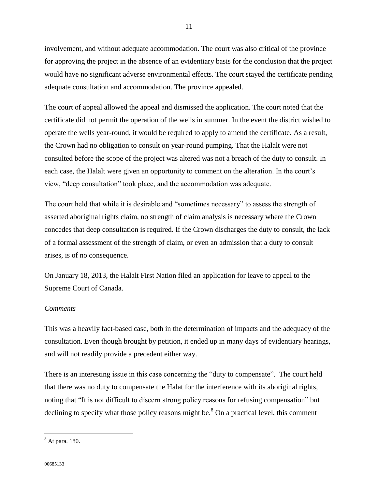involvement, and without adequate accommodation. The court was also critical of the province for approving the project in the absence of an evidentiary basis for the conclusion that the project would have no significant adverse environmental effects. The court stayed the certificate pending adequate consultation and accommodation. The province appealed.

The court of appeal allowed the appeal and dismissed the application. The court noted that the certificate did not permit the operation of the wells in summer. In the event the district wished to operate the wells year-round, it would be required to apply to amend the certificate. As a result, the Crown had no obligation to consult on year-round pumping. That the Halalt were not consulted before the scope of the project was altered was not a breach of the duty to consult. In each case, the Halalt were given an opportunity to comment on the alteration. In the court's view, "deep consultation" took place, and the accommodation was adequate.

The court held that while it is desirable and "sometimes necessary" to assess the strength of asserted aboriginal rights claim, no strength of claim analysis is necessary where the Crown concedes that deep consultation is required. If the Crown discharges the duty to consult, the lack of a formal assessment of the strength of claim, or even an admission that a duty to consult arises, is of no consequence.

On January 18, 2013, the Halalt First Nation filed an application for leave to appeal to the Supreme Court of Canada.

#### *Comments*

This was a heavily fact-based case, both in the determination of impacts and the adequacy of the consultation. Even though brought by petition, it ended up in many days of evidentiary hearings, and will not readily provide a precedent either way.

There is an interesting issue in this case concerning the "duty to compensate". The court held that there was no duty to compensate the Halat for the interference with its aboriginal rights, noting that "It is not difficult to discern strong policy reasons for refusing compensation" but declining to specify what those policy reasons might be. $8$  On a practical level, this comment

11

<sup>8</sup> At para. 180.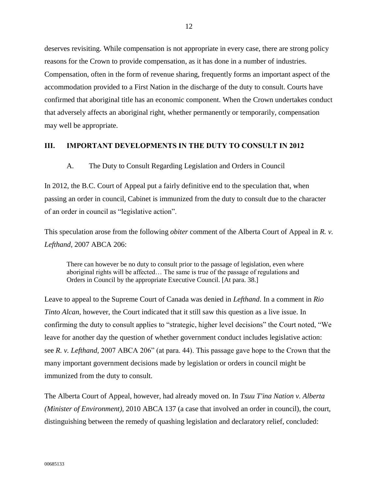deserves revisiting. While compensation is not appropriate in every case, there are strong policy reasons for the Crown to provide compensation, as it has done in a number of industries. Compensation, often in the form of revenue sharing, frequently forms an important aspect of the accommodation provided to a First Nation in the discharge of the duty to consult. Courts have confirmed that aboriginal title has an economic component. When the Crown undertakes conduct that adversely affects an aboriginal right, whether permanently or temporarily, compensation may well be appropriate.

#### <span id="page-13-1"></span><span id="page-13-0"></span>**III. IMPORTANT DEVELOPMENTS IN THE DUTY TO CONSULT IN 2012**

A. The Duty to Consult Regarding Legislation and Orders in Council

In 2012, the B.C. Court of Appeal put a fairly definitive end to the speculation that, when passing an order in council, Cabinet is immunized from the duty to consult due to the character of an order in council as "legislative action".

This speculation arose from the following *obiter* comment of the Alberta Court of Appeal in *R. v. Lefthand*, 2007 ABCA 206:

There can however be no duty to consult prior to the passage of legislation, even where aboriginal rights will be affected… The same is true of the passage of regulations and Orders in Council by the appropriate Executive Council. [At para. 38.]

Leave to appeal to the Supreme Court of Canada was denied in *Lefthand*. In a comment in *Rio Tinto Alcan,* however, the Court indicated that it still saw this question as a live issue. In confirming the duty to consult applies to "strategic, higher level decisions" the Court noted, "We leave for another day the question of whether government conduct includes legislative action: see *R. v. Lefthand,* 2007 ABCA 206" (at para. 44). This passage gave hope to the Crown that the many important government decisions made by legislation or orders in council might be immunized from the duty to consult.

The Alberta Court of Appeal, however, had already moved on. In *Tsuu T'ina Nation v. Alberta (Minister of Environment),* 2010 ABCA 137 (a case that involved an order in council), the court, distinguishing between the remedy of quashing legislation and declaratory relief, concluded: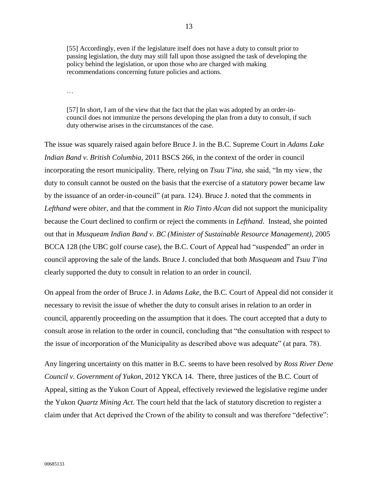[55] Accordingly, even if the legislature itself does not have a duty to consult prior to passing legislation, the duty may still fall upon those assigned the task of developing the policy behind the legislation, or upon those who are charged with making recommendations concerning future policies and actions.

…

[57] In short, I am of the view that the fact that the plan was adopted by an order-incouncil does not immunize the persons developing the plan from a duty to consult, if such duty otherwise arises in the circumstances of the case.

The issue was squarely raised again before Bruce J. in the B.C. Supreme Court in *Adams Lake Indian Band v. British Columbia*, 2011 BSCS 266, in the context of the order in council incorporating the resort municipality. There, relying on *Tsuu T'ina,* she said, "In my view, the duty to consult cannot be ousted on the basis that the exercise of a statutory power became law by the issuance of an order-in-council" (at para. 124). Bruce J. noted that the comments in *Lefthand* were *obiter*, and that the comment in *Rio Tinto Alcan* did not support the municipality because the Court declined to confirm or reject the comments in *Lefthand*. Instead, she pointed out that in *Musqueam Indian Band v. BC (Minister of Sustainable Resource Management)*, 2005 BCCA 128 (the UBC golf course case), the B.C. Court of Appeal had "suspended" an order in council approving the sale of the lands. Bruce J. concluded that both *Musqueam* and *Tsuu T'ina* clearly supported the duty to consult in relation to an order in council.

On appeal from the order of Bruce J. in *Adams Lake*, the B.C. Court of Appeal did not consider it necessary to revisit the issue of whether the duty to consult arises in relation to an order in council, apparently proceeding on the assumption that it does. The court accepted that a duty to consult arose in relation to the order in council, concluding that "the consultation with respect to the issue of incorporation of the Municipality as described above was adequate" (at para. 78).

Any lingering uncertainty on this matter in B.C. seems to have been resolved by *Ross River Dene Council v. Government of Yukon*, 2012 YKCA 14. There, three justices of the B.C. Court of Appeal, sitting as the Yukon Court of Appeal, effectively reviewed the legislative regime under the Yukon *Quartz Mining Act*. The court held that the lack of statutory discretion to register a claim under that Act deprived the Crown of the ability to consult and was therefore "defective":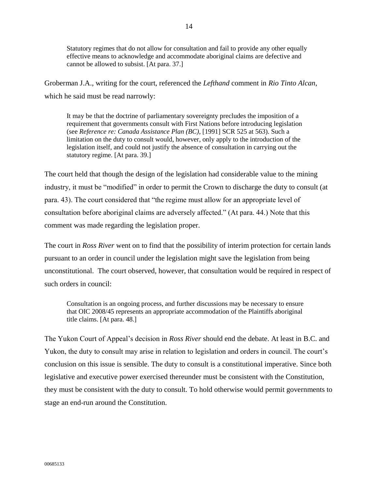Statutory regimes that do not allow for consultation and fail to provide any other equally effective means to acknowledge and accommodate aboriginal claims are defective and cannot be allowed to subsist. [At para. 37.]

Groberman J.A., writing for the court, referenced the *Lefthand* comment in *Rio Tinto Alcan*, which he said must be read narrowly:

It may be that the doctrine of parliamentary sovereignty precludes the imposition of a requirement that governments consult with First Nations before introducing legislation (see *Reference re: Canada Assistance Plan (BC)*, [1991] SCR 525 at 563). Such a limitation on the duty to consult would, however, only apply to the introduction of the legislation itself, and could not justify the absence of consultation in carrying out the statutory regime. [At para. 39.]

The court held that though the design of the legislation had considerable value to the mining industry, it must be "modified" in order to permit the Crown to discharge the duty to consult (at para. 43). The court considered that "the regime must allow for an appropriate level of consultation before aboriginal claims are adversely affected." (At para. 44.) Note that this comment was made regarding the legislation proper.

The court in *Ross River* went on to find that the possibility of interim protection for certain lands pursuant to an order in council under the legislation might save the legislation from being unconstitutional. The court observed, however, that consultation would be required in respect of such orders in council:

Consultation is an ongoing process, and further discussions may be necessary to ensure that OIC 2008/45 represents an appropriate accommodation of the Plaintiffs aboriginal title claims. [At para. 48.]

The Yukon Court of Appeal's decision in *Ross River* should end the debate. At least in B.C. and Yukon, the duty to consult may arise in relation to legislation and orders in council. The court's conclusion on this issue is sensible. The duty to consult is a constitutional imperative. Since both legislative and executive power exercised thereunder must be consistent with the Constitution, they must be consistent with the duty to consult. To hold otherwise would permit governments to stage an end-run around the Constitution.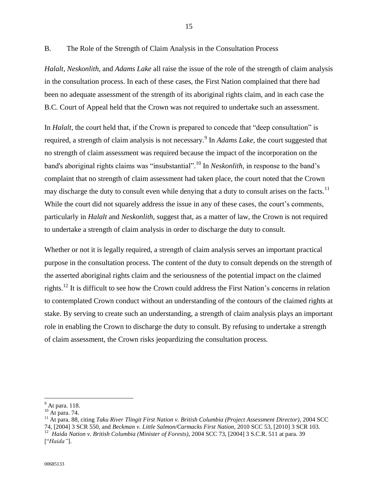<span id="page-16-0"></span>B. The Role of the Strength of Claim Analysis in the Consultation Process

*Halalt, Neskonlith,* and *Adams Lake* all raise the issue of the role of the strength of claim analysis in the consultation process. In each of these cases, the First Nation complained that there had been no adequate assessment of the strength of its aboriginal rights claim, and in each case the B.C. Court of Appeal held that the Crown was not required to undertake such an assessment.

In *Halalt*, the court held that, if the Crown is prepared to concede that "deep consultation" is required, a strength of claim analysis is not necessary.<sup>9</sup> In *Adams Lake*, the court suggested that no strength of claim assessment was required because the impact of the incorporation on the band's aboriginal rights claims was "insubstantial".<sup>10</sup> In *Neskonlith,* in response to the band's complaint that no strength of claim assessment had taken place, the court noted that the Crown may discharge the duty to consult even while denying that a duty to consult arises on the facts.<sup>11</sup> While the court did not squarely address the issue in any of these cases, the court's comments, particularly in *Halalt* and *Neskonlith,* suggest that, as a matter of law, the Crown is not required to undertake a strength of claim analysis in order to discharge the duty to consult.

Whether or not it is legally required, a strength of claim analysis serves an important practical purpose in the consultation process. The content of the duty to consult depends on the strength of the asserted aboriginal rights claim and the seriousness of the potential impact on the claimed rights.<sup>12</sup> It is difficult to see how the Crown could address the First Nation's concerns in relation to contemplated Crown conduct without an understanding of the contours of the claimed rights at stake. By serving to create such an understanding, a strength of claim analysis plays an important role in enabling the Crown to discharge the duty to consult. By refusing to undertake a strength of claim assessment, the Crown risks jeopardizing the consultation process.

 $\overline{a}$ 

["*Haida"*].

 $<sup>9</sup>$  At para. 118.</sup>

<sup>10</sup> At para. 74.

<sup>11</sup> At para. 88, citing *Taku River Tlingit First Nation v. British Columbia (Project Assessment Director)*, 2004 SCC 74, [2004] 3 SCR 550, and *Beckman v. Little Salmon/Carmacks First Nation*, 2010 SCC 53, [2010] 3 SCR 103. <sup>12</sup> *Haida Nation v. British Columbia (Minister of Forests)*, 2004 SCC 73, [2004] 3 S.C.R. 511 at para. 39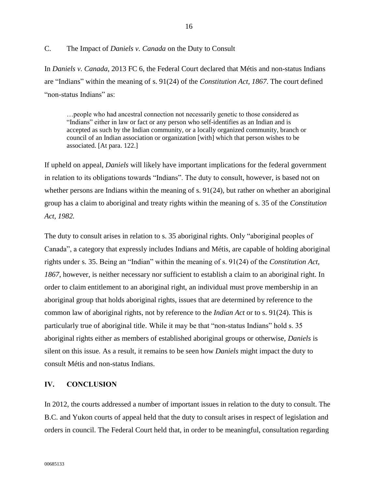## <span id="page-17-0"></span>C. The Impact of *Daniels v. Canada* on the Duty to Consult

In *Daniels v. Canada*, 2013 FC 6, the Federal Court declared that Métis and non-status Indians are "Indians" within the meaning of s. 91(24) of the *Constitution Act, 1867*. The court defined "non-status Indians" as:

…people who had ancestral connection not necessarily genetic to those considered as "Indians" either in law or fact or any person who self-identifies as an Indian and is accepted as such by the Indian community, or a locally organized community, branch or council of an Indian association or organization [with] which that person wishes to be associated. [At para. 122.]

If upheld on appeal, *Daniels* will likely have important implications for the federal government in relation to its obligations towards "Indians". The duty to consult, however, is based not on whether persons are Indians within the meaning of s. 91(24), but rather on whether an aboriginal group has a claim to aboriginal and treaty rights within the meaning of s. 35 of the *Constitution Act, 1982.*

The duty to consult arises in relation to s. 35 aboriginal rights. Only "aboriginal peoples of Canada", a category that expressly includes Indians and Métis, are capable of holding aboriginal rights under s. 35. Being an "Indian" within the meaning of s. 91(24) of the *Constitution Act, 1867*, however, is neither necessary nor sufficient to establish a claim to an aboriginal right. In order to claim entitlement to an aboriginal right, an individual must prove membership in an aboriginal group that holds aboriginal rights, issues that are determined by reference to the common law of aboriginal rights, not by reference to the *Indian Act* or to s. 91(24)*.* This is particularly true of aboriginal title. While it may be that "non-status Indians" hold s. 35 aboriginal rights either as members of established aboriginal groups or otherwise, *Daniels* is silent on this issue*.* As a result, it remains to be seen how *Daniels* might impact the duty to consult Métis and non-status Indians.

## <span id="page-17-1"></span>**IV. CONCLUSION**

In 2012, the courts addressed a number of important issues in relation to the duty to consult. The B.C. and Yukon courts of appeal held that the duty to consult arises in respect of legislation and orders in council. The Federal Court held that, in order to be meaningful, consultation regarding